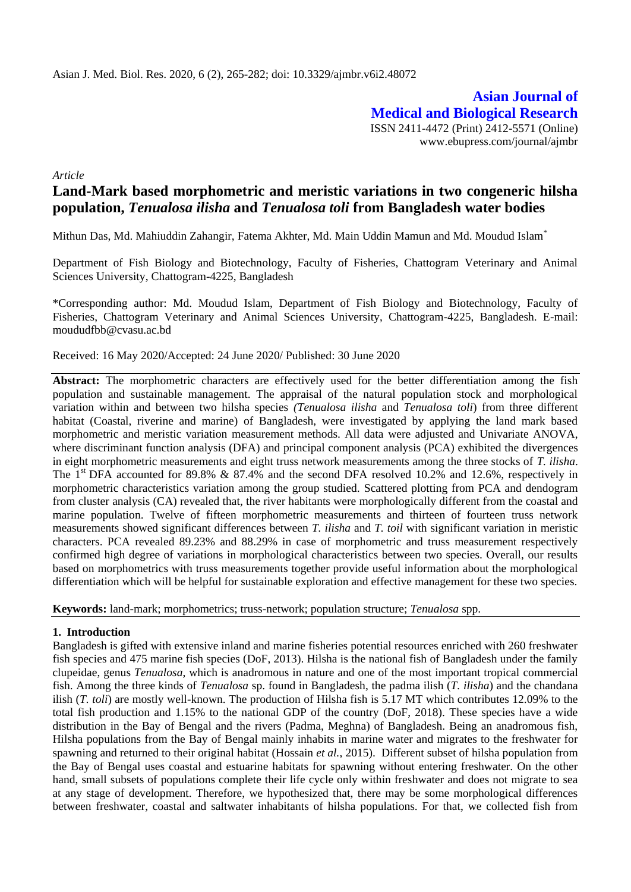**Asian Journal of Medical and Biological Research** ISSN 2411-4472 (Print) 2412-5571 (Online) www.ebupress.com/journal/ajmbr

*Article*

# **Land-Mark based morphometric and meristic variations in two congeneric hilsha population,** *Tenualosa ilisha* **and** *Tenualosa toli* **from Bangladesh water bodies**

Mithun Das, Md. Mahiuddin Zahangir, Fatema Akhter, Md. Main Uddin Mamun and Md. Moudud Islam\*

Department of Fish Biology and Biotechnology, Faculty of Fisheries, Chattogram Veterinary and Animal Sciences University, Chattogram-4225, Bangladesh

\*Corresponding author: Md. Moudud Islam, Department of Fish Biology and Biotechnology, Faculty of Fisheries, Chattogram Veterinary and Animal Sciences University, Chattogram-4225, Bangladesh. E-mail: moududfbb@cvasu.ac.bd

Received: 16 May 2020/Accepted: 24 June 2020/ Published: 30 June 2020

Abstract: The morphometric characters are effectively used for the better differentiation among the fish population and sustainable management. The appraisal of the natural population stock and morphological variation within and between two hilsha species *(Tenualosa ilisha* and *Tenualosa toli*) from three different habitat (Coastal, riverine and marine) of Bangladesh, were investigated by applying the land mark based morphometric and meristic variation measurement methods. All data were adjusted and Univariate ANOVA, where discriminant function analysis (DFA) and principal component analysis (PCA) exhibited the divergences in eight morphometric measurements and eight truss network measurements among the three stocks of *T. ilisha*. The 1<sup>st</sup> DFA accounted for 89.8% & 87.4% and the second DFA resolved 10.2% and 12.6%, respectively in morphometric characteristics variation among the group studied. Scattered plotting from PCA and dendogram from cluster analysis (CA) revealed that, the river habitants were morphologically different from the coastal and marine population. Twelve of fifteen morphometric measurements and thirteen of fourteen truss network measurements showed significant differences between *T. ilisha* and *T. toil* with significant variation in meristic characters. PCA revealed 89.23% and 88.29% in case of morphometric and truss measurement respectively confirmed high degree of variations in morphological characteristics between two species. Overall, our results based on morphometrics with truss measurements together provide useful information about the morphological differentiation which will be helpful for sustainable exploration and effective management for these two species.

**Keywords:** land-mark; morphometrics; truss-network; population structure; *Tenualosa* spp.

### **1. Introduction**

Bangladesh is gifted with extensive inland and marine fisheries potential resources enriched with 260 freshwater fish species and 475 marine fish species (DoF, 2013). Hilsha is the national fish of Bangladesh under the family clupeidae, genus *Tenualosa*, which is anadromous in nature and one of the most important tropical commercial fish. Among the three kinds of *Tenualosa* sp. found in Bangladesh, the padma ilish (*T. ilisha*) and the chandana ilish (*T. toli*) are mostly well-known. The production of [Hilsha](https://www.omicsonline.org/searchresult.php?keyword=Hilsa) fish is 5.17 MT which contributes 12.09% to the total fish production and 1.15% to the national GDP of the country (DoF, 2018). These species have a wide distribution in the Bay of Bengal and the rivers (Padma, Meghna) of Bangladesh. Being an anadromous fish, Hilsha populations from the Bay of Bengal mainly inhabits in marine water and migrates to the freshwater for spawning and returned to their original habitat (Hossain *et al.*, 2015). Different subset of hilsha population from the Bay of Bengal uses coastal and estuarine habitats for spawning without entering freshwater. On the other hand, small subsets of populations complete their life cycle only within freshwater and does not migrate to sea at any stage of development. Therefore, we hypothesized that, there may be some morphological differences between freshwater, coastal and saltwater inhabitants of hilsha populations. For that, we collected fish from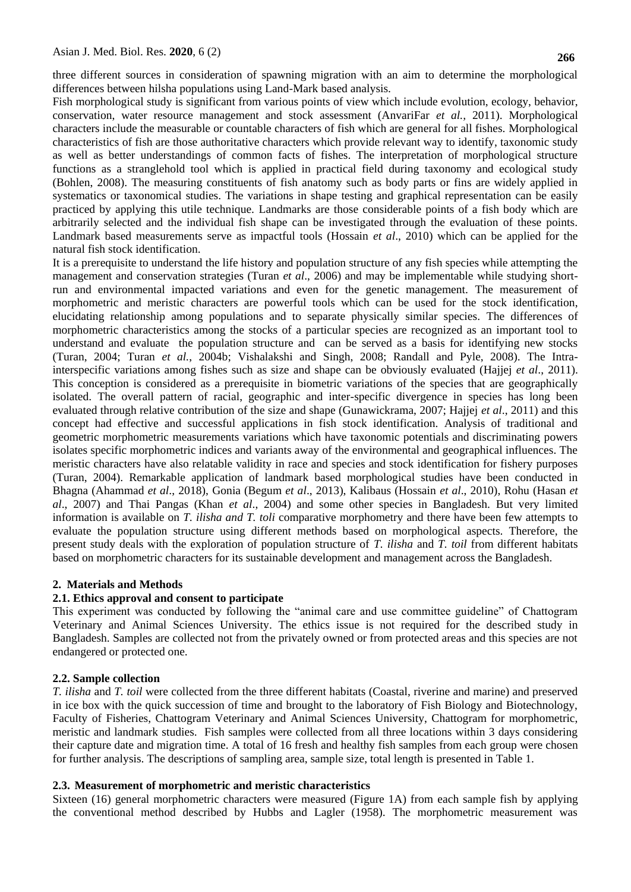three different sources in consideration of spawning migration with an aim to determine the morphological differences between hilsha populations using Land-Mark based analysis.

Fish morphological study is significant from various points of view which include evolution, ecology, behavior, conservation, water resource management and stock assessment (AnvariFar *et al.,* 2011). Morphological characters include the measurable or countable characters of fish which are general for all fishes. Morphological characteristics of fish are those authoritative characters which provide relevant way to identify, taxonomic study as well as better understandings of common facts of fishes. The interpretation of morphological structure functions as a stranglehold tool which is applied in practical field during taxonomy and ecological study (Bohlen, 2008). The measuring constituents of fish anatomy such as body parts or fins are widely applied in systematics or taxonomical studies. The variations in shape testing and graphical representation can be easily practiced by applying this utile technique. Landmarks are those considerable points of a fish body which are arbitrarily selected and the individual fish shape can be investigated through the evaluation of these points. Landmark based measurements serve as impactful tools (Hossain *et al*., 2010) which can be applied for the natural fish stock identification.

It is a prerequisite to understand the life history and population structure of any fish species while attempting the management and conservation strategies (Turan *et al*., 2006) and may be implementable while studying shortrun and environmental impacted variations and even for the genetic management. The measurement of morphometric and meristic characters are powerful tools which can be used for the stock identification, elucidating relationship among populations and to separate physically similar species. The differences of morphometric characteristics among the stocks of a particular species are recognized as an important tool to understand and evaluate the population structure and can be served as a basis for identifying new stocks (Turan, 2004; Turan *et al.*, 2004b; Vishalakshi and Singh, 2008; Randall and Pyle, 2008). The Intrainterspecific variations among fishes such as size and shape can be obviously evaluated (Hajjej *et al*., 2011). This conception is considered as a prerequisite in biometric variations of the species that are geographically isolated. The overall pattern of racial, geographic and inter-specific divergence in species has long been evaluated through relative contribution of the size and shape (Gunawickrama, 2007; Hajjej *et al*., 2011) and this concept had effective and successful applications in fish stock identification. Analysis of traditional and geometric morphometric measurements variations which have taxonomic potentials and discriminating powers isolates specific morphometric indices and variants away of the environmental and geographical influences. The meristic characters have also relatable validity in race and species and stock identification for fishery purposes (Turan, 2004). Remarkable application of landmark based morphological studies have been conducted in Bhagna (Ahammad *et al*., 2018), Gonia (Begum *et al*., 2013), Kalibaus (Hossain *et al*., 2010), Rohu (Hasan *et al*., 2007) and Thai Pangas (Khan *et al*., 2004) and some other species in Bangladesh. But very limited information is available on *T. ilisha and T. toli* comparative morphometry and there have been few attempts to evaluate the population structure using different methods based on morphological aspects. Therefore, the present study deals with the exploration of population structure of *T. ilisha* and *T. toil* from different habitats based on morphometric characters for its sustainable development and management across the Bangladesh.

#### **2. Materials and Methods**

### **2.1. Ethics approval and consent to participate**

This experiment was conducted by following the "animal care and use committee guideline" of Chattogram Veterinary and Animal Sciences University. The ethics issue is not required for the described study in Bangladesh. Samples are collected not from the privately owned or from protected areas and this species are not endangered or protected one.

#### **2.2. Sample collection**

*T. ilisha* and *T. toil* were collected from the three different habitats (Coastal, riverine and marine) and preserved in ice box with the quick succession of time and brought to the laboratory of Fish Biology and Biotechnology, Faculty of Fisheries, Chattogram Veterinary and Animal Sciences University, Chattogram for morphometric, meristic and landmark studies. Fish samples were collected from all three locations within 3 days considering their capture date and migration time. A total of 16 fresh and healthy fish samples from each group were chosen for further analysis. The descriptions of sampling area, sample size, total length is presented in Table 1.

#### **2.3. Measurement of morphometric and meristic characteristics**

Sixteen (16) general morphometric characters were measured (Figure 1A) from each sample fish by applying the conventional method described by Hubbs and Lagler (1958). The morphometric measurement was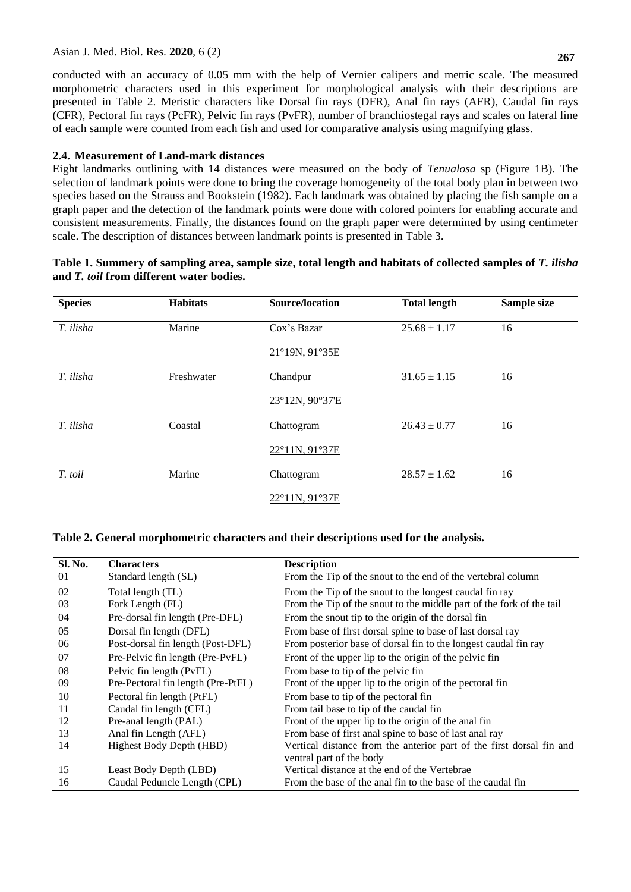### Asian J. Med. Biol. Res. **2020**, 6 (2)

conducted with an accuracy of 0.05 mm with the help of Vernier calipers and metric scale. The measured morphometric characters used in this experiment for morphological analysis with their descriptions are presented in Table 2. Meristic characters like Dorsal fin rays (DFR), Anal fin rays (AFR), Caudal fin rays (CFR), Pectoral fin rays (PcFR), Pelvic fin rays (PvFR), number of branchiostegal rays and scales on lateral line of each sample were counted from each fish and used for comparative analysis using magnifying glass.

### **2.4. Measurement of Land-mark distances**

Eight landmarks outlining with 14 distances were measured on the body of *Tenualosa* sp (Figure 1B). The selection of landmark points were done to bring the coverage homogeneity of the total body plan in between two species based on the Strauss and Bookstein (1982). Each landmark was obtained by placing the fish sample on a graph paper and the detection of the landmark points were done with colored pointers for enabling accurate and consistent measurements. Finally, the distances found on the graph paper were determined by using centimeter scale. The description of distances between landmark points is presented in Table 3.

| <b>Species</b> | <b>Habitats</b> | Source/location | <b>Total length</b> | Sample size |
|----------------|-----------------|-----------------|---------------------|-------------|
| T. ilisha      | Marine          | Cox's Bazar     | $25.68 \pm 1.17$    | 16          |
|                |                 | 21°19N, 91°35E  |                     |             |
| T. ilisha      | Freshwater      | Chandpur        | $31.65 \pm 1.15$    | 16          |
|                |                 | 23°12N, 90°37'E |                     |             |
| T. ilisha      | Coastal         | Chattogram      | $26.43 \pm 0.77$    | 16          |
|                |                 | 22°11N, 91°37E  |                     |             |
| T. toil        | Marine          | Chattogram      | $28.57 \pm 1.62$    | 16          |
|                |                 | 22°11N, 91°37E  |                     |             |
|                |                 |                 |                     |             |

# **Table 1. Summery of sampling area, sample size, total length and habitats of collected samples of** *T. ilisha*  **and** *T. toil* **from different water bodies.**

### **Table 2. General morphometric characters and their descriptions used for the analysis.**

| Sl. No. | <b>Characters</b>                  | <b>Description</b>                                                                               |
|---------|------------------------------------|--------------------------------------------------------------------------------------------------|
| 01      | Standard length (SL)               | From the Tip of the snout to the end of the vertebral column                                     |
| 02      | Total length (TL)                  | From the Tip of the snout to the longest caudal fin ray                                          |
| 03      | Fork Length (FL)                   | From the Tip of the snout to the middle part of the fork of the tail                             |
| 04      | Pre-dorsal fin length (Pre-DFL)    | From the snout tip to the origin of the dorsal fin                                               |
| 05      | Dorsal fin length (DFL)            | From base of first dorsal spine to base of last dorsal ray                                       |
| 06      | Post-dorsal fin length (Post-DFL)  | From posterior base of dorsal fin to the longest caudal fin ray                                  |
| 07      | Pre-Pelvic fin length (Pre-PvFL)   | Front of the upper lip to the origin of the pelvic fin                                           |
| 08      | Pelvic fin length (PvFL)           | From base to tip of the pelvic fin                                                               |
| 09      | Pre-Pectoral fin length (Pre-PtFL) | Front of the upper lip to the origin of the pectoral fin                                         |
| 10      | Pectoral fin length (PtFL)         | From base to tip of the pectoral fin                                                             |
| 11      | Caudal fin length (CFL)            | From tail base to tip of the caudal fin                                                          |
| 12      | Pre-anal length (PAL)              | Front of the upper lip to the origin of the anal fin                                             |
| 13      | Anal fin Length (AFL)              | From base of first anal spine to base of last anal ray                                           |
| 14      | Highest Body Depth (HBD)           | Vertical distance from the anterior part of the first dorsal fin and<br>ventral part of the body |
| 15      | Least Body Depth (LBD)             | Vertical distance at the end of the Vertebrae                                                    |
| 16      | Caudal Peduncle Length (CPL)       | From the base of the anal fin to the base of the caudal fin                                      |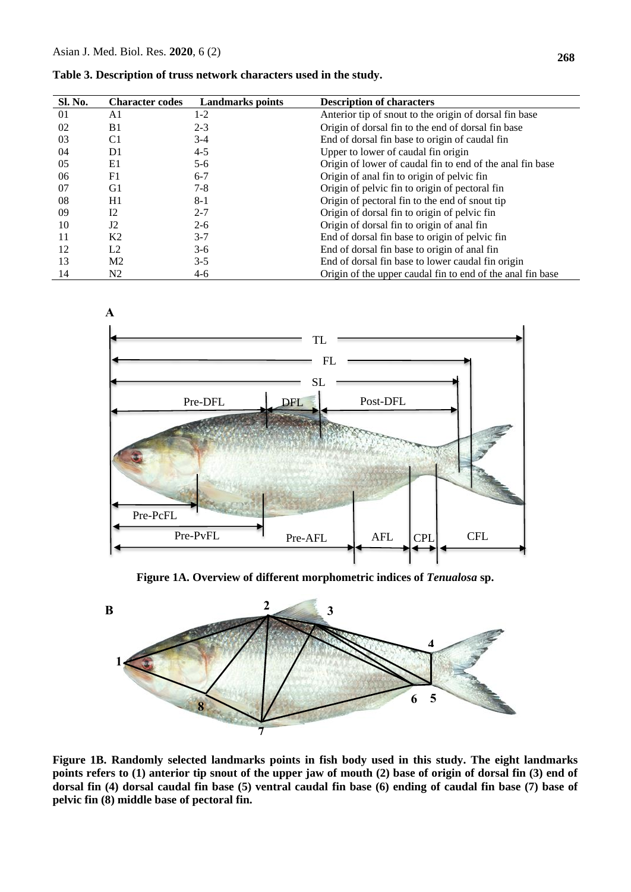| Table 3. Description of truss network characters used in the study. |  |  |  |  |  |
|---------------------------------------------------------------------|--|--|--|--|--|
|---------------------------------------------------------------------|--|--|--|--|--|

| Sl. No. | <b>Character codes</b> | <b>Landmarks</b> points | <b>Description of characters</b>                           |
|---------|------------------------|-------------------------|------------------------------------------------------------|
| 01      | A1                     | $1-2$                   | Anterior tip of snout to the origin of dorsal fin base     |
| 02      | B1                     | $2 - 3$                 | Origin of dorsal fin to the end of dorsal fin base         |
| 03      | C <sub>1</sub>         | $3-4$                   | End of dorsal fin base to origin of caudal fin             |
| 04      | D1                     | $4 - 5$                 | Upper to lower of caudal fin origin                        |
| 05      | E1                     | $5-6$                   | Origin of lower of caudal fin to end of the anal fin base  |
| 06      | F1                     | $6 - 7$                 | Origin of anal fin to origin of pelvic fin                 |
| 07      | G1                     | $7-8$                   | Origin of pelvic fin to origin of pectoral fin             |
| 08      | H1                     | $8-1$                   | Origin of pectoral fin to the end of snout tip             |
| 09      | 12                     | $2 - 7$                 | Origin of dorsal fin to origin of pelvic fin               |
| 10      | J2                     | $2-6$                   | Origin of dorsal fin to origin of anal fin                 |
| 11      | K <sub>2</sub>         | $3 - 7$                 | End of dorsal fin base to origin of pelvic fin             |
| 12      | L2                     | $3-6$                   | End of dorsal fin base to origin of anal fin               |
| 13      | M <sub>2</sub>         | $3-5$                   | End of dorsal fin base to lower caudal fin origin          |
| 14      | N <sub>2</sub>         | 4-6                     | Origin of the upper caudal fin to end of the anal fin base |



**Figure 1A. Overview of different morphometric indices of** *Tenualosa* **sp.**



**Figure 1B. Randomly selected landmarks points in fish body used in this study. The eight landmarks points refers to (1) anterior tip snout of the upper jaw of mouth (2) base of origin of dorsal fin (3) end of dorsal fin (4) dorsal caudal fin base (5) ventral caudal fin base (6) ending of caudal fin base (7) base of pelvic fin (8) middle base of pectoral fin.**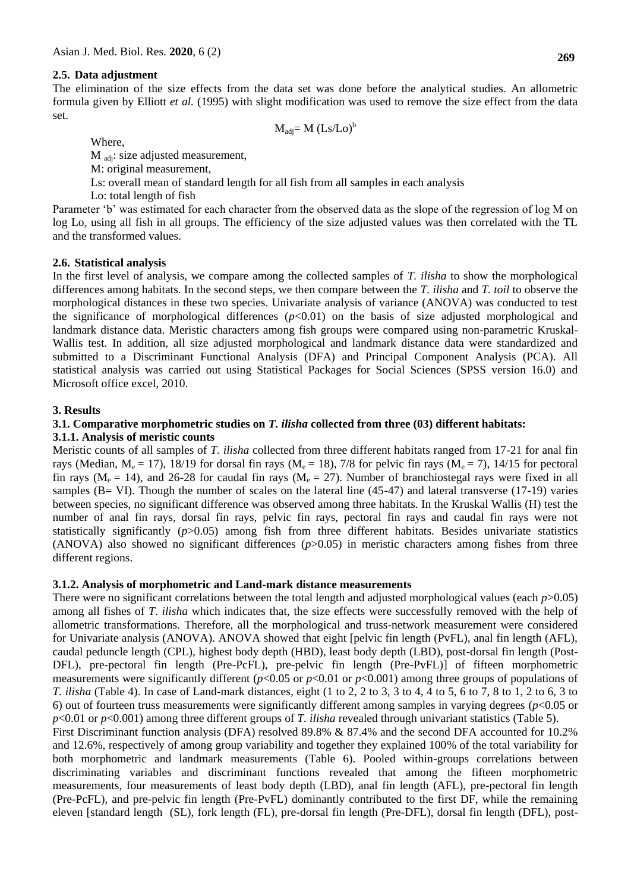# **2.5. Data adjustment**

The elimination of the size effects from the data set was done before the analytical studies. An allometric formula given by Elliott *et al.* (1995) with slight modification was used to remove the size effect from the data set.

 $\rm M_{\rm adj}\rm = M~{\rm (Ls/Lo)}^b$ 

Where,

M adj: size adjusted measurement,

M: original measurement,

Ls: overall mean of standard length for all fish from all samples in each analysis

Lo: total length of fish

Parameter 'b' was estimated for each character from the observed data as the slope of the regression of log M on log Lo, using all fish in all groups. The efficiency of the size adjusted values was then correlated with the TL and the transformed values.

# **2.6. Statistical analysis**

In the first level of analysis, we compare among the collected samples of *T. ilisha* to show the morphological differences among habitats. In the second steps, we then compare between the *T. ilisha* and *T. toil* to observe the morphological distances in these two species. Univariate analysis of variance (ANOVA) was conducted to test the significance of morphological differences  $(p<0.01)$  on the basis of size adjusted morphological and landmark distance data. Meristic characters among fish groups were compared using non-parametric Kruskal-Wallis test. In addition, all size adjusted morphological and landmark distance data were standardized and submitted to a Discriminant Functional Analysis (DFA) and Principal Component Analysis (PCA). All statistical analysis was carried out using Statistical Packages for Social Sciences (SPSS version 16.0) and Microsoft office excel, 2010.

# **3. Results**

### **3.1. Comparative morphometric studies on** *T. ilisha* **collected from three (03) different habitats: 3.1.1. Analysis of meristic counts**

Meristic counts of all samples of *T. ilisha* collected from three different habitats ranged from 17-21 for anal fin rays (Median,  $M_e = 17$ ), 18/19 for dorsal fin rays ( $M_e = 18$ ), 7/8 for pelvic fin rays ( $M_e = 7$ ), 14/15 for pectoral fin rays ( $M_e = 14$ ), and 26-28 for caudal fin rays ( $M_e = 27$ ). Number of branchiostegal rays were fixed in all samples (B= VI). Though the number of scales on the lateral line (45-47) and lateral transverse (17-19) varies between species, no significant difference was observed among three habitats. In the Kruskal Wallis (H) test the number of anal fin rays, dorsal fin rays, pelvic fin rays, pectoral fin rays and caudal fin rays were not statistically significantly (*p*>0.05) among fish from three different habitats. Besides univariate statistics (ANOVA) also showed no significant differences (*p*>0.05) in meristic characters among fishes from three different regions.

# **3.1.2. Analysis of morphometric and Land-mark distance measurements**

There were no significant correlations between the total length and adjusted morphological values (each *p*>0.05) among all fishes of *T*. *ilisha* which indicates that, the size effects were successfully removed with the help of allometric transformations. Therefore, all the morphological and truss-network measurement were considered for Univariate analysis (ANOVA). ANOVA showed that eight [pelvic fin length (PvFL), anal fin length (AFL), caudal peduncle length (CPL), highest body depth (HBD), least body depth (LBD), post-dorsal fin length (Post-DFL), pre-pectoral fin length (Pre-PcFL), pre-pelvic fin length (Pre-PvFL)] of fifteen morphometric measurements were significantly different ( $p<0.05$  or  $p<0.01$  or  $p<0.001$ ) among three groups of populations of *T. ilisha* (Table 4). In case of Land-mark distances, eight (1 to 2, 2 to 3, 3 to 4, 4 to 5, 6 to 7, 8 to 1, 2 to 6, 3 to 6) out of fourteen truss measurements were significantly different among samples in varying degrees (*p*<0.05 or *p*<0.01 or *p*<0.001) among three different groups of *T. ilisha* revealed through univariant statistics (Table 5).

First Discriminant function analysis (DFA) resolved 89.8% & 87.4% and the second DFA accounted for 10.2% and 12.6%, respectively of among group variability and together they explained 100% of the total variability for both morphometric and landmark measurements (Table 6). Pooled within-groups correlations between discriminating variables and discriminant functions revealed that among the fifteen morphometric measurements, four measurements of least body depth (LBD), anal fin length (AFL), pre-pectoral fin length (Pre-PcFL), and pre-pelvic fin length (Pre-PvFL) dominantly contributed to the first DF, while the remaining eleven [standard length (SL), fork length (FL), pre-dorsal fin length (Pre-DFL), dorsal fin length (DFL), post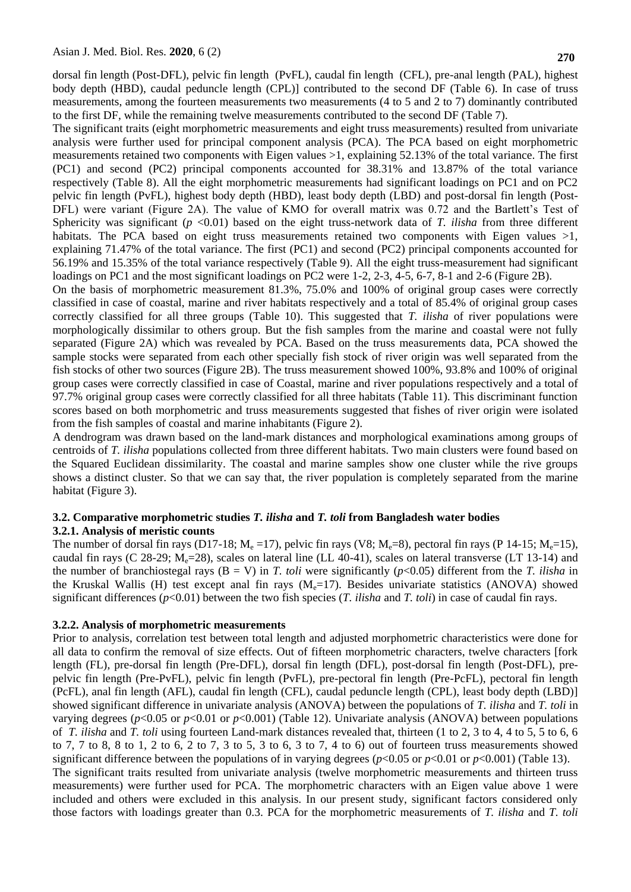dorsal fin length (Post-DFL), pelvic fin length (PvFL), caudal fin length (CFL), pre-anal length (PAL), highest body depth (HBD), caudal peduncle length (CPL)] contributed to the second DF (Table 6). In case of truss measurements, among the fourteen measurements two measurements (4 to 5 and 2 to 7) dominantly contributed to the first DF, while the remaining twelve measurements contributed to the second DF (Table 7).

The significant traits (eight morphometric measurements and eight truss measurements) resulted from univariate analysis were further used for principal component analysis (PCA). The PCA based on eight morphometric measurements retained two components with Eigen values >1, explaining 52.13% of the total variance. The first (PC1) and second (PC2) principal components accounted for 38.31% and 13.87% of the total variance respectively (Table 8). All the eight morphometric measurements had significant loadings on PC1 and on PC2 pelvic fin length (PvFL), highest body depth (HBD), least body depth (LBD) and post-dorsal fin length (Post-DFL) were variant (Figure 2A). The value of KMO for overall matrix was 0.72 and the Bartlett's Test of Sphericity was significant (*p* <0.01) based on the eight truss-network data of *T. ilisha* from three different habitats. The PCA based on eight truss measurements retained two components with Eigen values  $>1$ , explaining 71.47% of the total variance. The first (PC1) and second (PC2) principal components accounted for 56.19% and 15.35% of the total variance respectively (Table 9). All the eight truss-measurement had significant loadings on PC1 and the most significant loadings on PC2 were 1-2, 2-3, 4-5, 6-7, 8-1 and 2-6 (Figure 2B).

On the basis of morphometric measurement 81.3%, 75.0% and 100% of original group cases were correctly classified in case of coastal, marine and river habitats respectively and a total of 85.4% of original group cases correctly classified for all three groups (Table 10). This suggested that *T. ilisha* of river populations were morphologically dissimilar to others group. But the fish samples from the marine and coastal were not fully separated (Figure 2A) which was revealed by PCA. Based on the truss measurements data, PCA showed the sample stocks were separated from each other specially fish stock of river origin was well separated from the fish stocks of other two sources (Figure 2B). The truss measurement showed 100%, 93.8% and 100% of original group cases were correctly classified in case of Coastal, marine and river populations respectively and a total of 97.7% original group cases were correctly classified for all three habitats (Table 11). This discriminant function scores based on both morphometric and truss measurements suggested that fishes of river origin were isolated from the fish samples of coastal and marine inhabitants (Figure 2).

A dendrogram was drawn based on the land-mark distances and morphological examinations among groups of centroids of *T. ilisha* populations collected from three different habitats. Two main clusters were found based on the Squared Euclidean dissimilarity. The coastal and marine samples show one cluster while the rive groups shows a distinct cluster. So that we can say that, the river population is completely separated from the marine habitat (Figure 3).

# **3.2. Comparative morphometric studies** *T. ilisha* **and** *T. toli* **from Bangladesh water bodies 3.2.1. Analysis of meristic counts**

The number of dorsal fin rays (D17-18;  $M_e = 17$ ), pelvic fin rays (V8;  $M_e = 8$ ), pectoral fin rays (P 14-15;  $M_e = 15$ ), caudal fin rays (C 28-29;  $M_e=28$ ), scales on lateral line (LL 40-41), scales on lateral transverse (LT 13-14) and the number of branchiostegal rays  $(B = V)$  in *T. toli* were significantly  $(p<0.05)$  different from the *T. ilisha* in the Kruskal Wallis (H) test except anal fin rays  $(M_e=17)$ . Besides univariate statistics (ANOVA) showed significant differences  $(p<0.01)$  between the two fish species (*T. ilisha* and *T. toli*) in case of caudal fin rays.

### **3.2.2. Analysis of morphometric measurements**

Prior to analysis, correlation test between total length and adjusted morphometric characteristics were done for all data to confirm the removal of size effects. Out of fifteen morphometric characters, twelve characters [fork length (FL), pre-dorsal fin length (Pre-DFL), dorsal fin length (DFL), post-dorsal fin length (Post-DFL), prepelvic fin length (Pre-PvFL), pelvic fin length (PvFL), pre-pectoral fin length (Pre-PcFL), pectoral fin length (PcFL), anal fin length (AFL), caudal fin length (CFL), caudal peduncle length (CPL), least body depth (LBD)] showed significant difference in univariate analysis (ANOVA) between the populations of *T. ilisha* and *T. toli* in varying degrees (*p*<0.05 or *p*<0.01 or *p*<0.001) (Table 12). Univariate analysis (ANOVA) between populations of *T. ilisha* and *T. toli* using fourteen Land-mark distances revealed that, thirteen (1 to 2, 3 to 4, 4 to 5, 5 to 6, 6 to 7, 7 to 8, 8 to 1, 2 to 6, 2 to 7, 3 to 5, 3 to 6, 3 to 7, 4 to 6) out of fourteen truss measurements showed significant difference between the populations of in varying degrees  $(p<0.05$  or  $p<0.01$  or  $p<0.001$ ) (Table 13). The significant traits resulted from univariate analysis (twelve morphometric measurements and thirteen truss measurements) were further used for PCA. The morphometric characters with an Eigen value above 1 were included and others were excluded in this analysis. In our present study, significant factors considered only those factors with loadings greater than 0.3. PCA for the morphometric measurements of *T. ilisha* and *T. toli*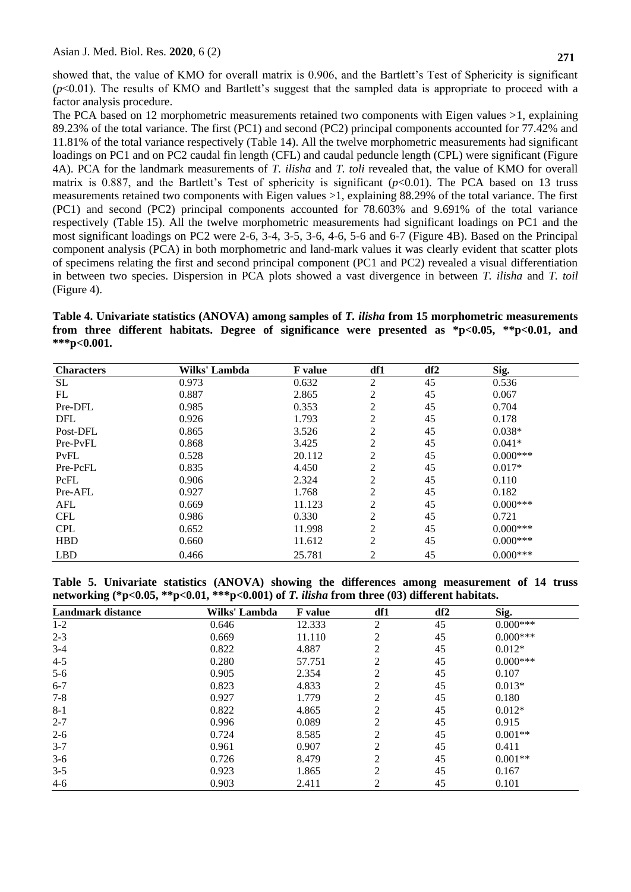showed that, the value of KMO for overall matrix is 0.906, and the Bartlett's Test of Sphericity is significant  $(p<0.01)$ . The results of KMO and Bartlett's suggest that the sampled data is appropriate to proceed with a factor analysis procedure.

The PCA based on 12 morphometric measurements retained two components with Eigen values >1, explaining 89.23% of the total variance. The first (PC1) and second (PC2) principal components accounted for 77.42% and 11.81% of the total variance respectively (Table 14). All the twelve morphometric measurements had significant loadings on PC1 and on PC2 caudal fin length (CFL) and caudal peduncle length (CPL) were significant (Figure 4A). PCA for the landmark measurements of *T. ilisha* and *T. toli* revealed that, the value of KMO for overall matrix is 0.887, and the Bartlett"s Test of sphericity is significant (*p*<0.01). The PCA based on 13 truss measurements retained two components with Eigen values >1, explaining 88.29% of the total variance. The first (PC1) and second (PC2) principal components accounted for 78.603% and 9.691% of the total variance respectively (Table 15). All the twelve morphometric measurements had significant loadings on PC1 and the most significant loadings on PC2 were 2-6, 3-4, 3-5, 3-6, 4-6, 5-6 and 6-7 (Figure 4B). Based on the Principal component analysis (PCA) in both morphometric and land-mark values it was clearly evident that scatter plots of specimens relating the first and second principal component (PC1 and PC2) revealed a visual differentiation in between two species. Dispersion in PCA plots showed a vast divergence in between *T. ilisha* and *T. toil*  (Figure 4).

**Table 4. Univariate statistics (ANOVA) among samples of** *T. ilisha* **from 15 morphometric measurements from three different habitats. Degree of significance were presented as \*p<0.05, \*\*p<0.01, and \*\*\*p<0.001.** 

| <b>Characters</b> | Wilks' Lambda | <b>F</b> value | df1            | df2 | Sig.        |
|-------------------|---------------|----------------|----------------|-----|-------------|
| SL                | 0.973         | 0.632          | 2              | 45  | 0.536       |
| FL                | 0.887         | 2.865          | 2              | 45  | 0.067       |
| Pre-DFL           | 0.985         | 0.353          | 2              | 45  | 0.704       |
| <b>DFL</b>        | 0.926         | 1.793          | 2              | 45  | 0.178       |
| Post-DFL          | 0.865         | 3.526          | $\overline{2}$ | 45  | $0.038*$    |
| Pre-PvFL          | 0.868         | 3.425          | 2              | 45  | $0.041*$    |
| PvFL              | 0.528         | 20.112         | $\overline{c}$ | 45  | $0.000***$  |
| Pre-PcFL          | 0.835         | 4.450          | 2              | 45  | $0.017*$    |
| PcFL              | 0.906         | 2.324          | $\overline{2}$ | 45  | 0.110       |
| Pre-AFL           | 0.927         | 1.768          | 2              | 45  | 0.182       |
| AFL               | 0.669         | 11.123         | $\overline{2}$ | 45  | $0.000***$  |
| <b>CFL</b>        | 0.986         | 0.330          | 2              | 45  | 0.721       |
| <b>CPL</b>        | 0.652         | 11.998         | $\overline{2}$ | 45  | $0.000***$  |
| <b>HBD</b>        | 0.660         | 11.612         | $\overline{2}$ | 45  | $0.000$ *** |
| <b>LBD</b>        | 0.466         | 25.781         | $\overline{2}$ | 45  | $0.000$ *** |

**Table 5. Univariate statistics (ANOVA) showing the differences among measurement of 14 truss networking (\*p<0.05, \*\*p<0.01, \*\*\*p<0.001) of** *T. ilisha* **from three (03) different habitats.** 

| <b>Landmark distance</b> | Wilks' Lambda | <b>F</b> value | df1            | df2 | Sig.       |  |
|--------------------------|---------------|----------------|----------------|-----|------------|--|
| $1 - 2$                  | 0.646         | 12.333         | 2              | 45  | $0.000***$ |  |
| $2 - 3$                  | 0.669         | 11.110         | 2              | 45  | $0.000***$ |  |
| $3 - 4$                  | 0.822         | 4.887          | 2              | 45  | $0.012*$   |  |
| $4 - 5$                  | 0.280         | 57.751         | 2              | 45  | $0.000***$ |  |
| $5 - 6$                  | 0.905         | 2.354          | 2              | 45  | 0.107      |  |
| $6 - 7$                  | 0.823         | 4.833          | $\overline{c}$ | 45  | $0.013*$   |  |
| $7 - 8$                  | 0.927         | 1.779          | 2              | 45  | 0.180      |  |
| $8 - 1$                  | 0.822         | 4.865          | 2              | 45  | $0.012*$   |  |
| $2 - 7$                  | 0.996         | 0.089          | 2              | 45  | 0.915      |  |
| $2 - 6$                  | 0.724         | 8.585          | 2              | 45  | $0.001**$  |  |
| $3 - 7$                  | 0.961         | 0.907          | $\overline{c}$ | 45  | 0.411      |  |
| $3-6$                    | 0.726         | 8.479          | 2              | 45  | $0.001**$  |  |
| $3 - 5$                  | 0.923         | 1.865          | 2              | 45  | 0.167      |  |
| $4-6$                    | 0.903         | 2.411          | 2              | 45  | 0.101      |  |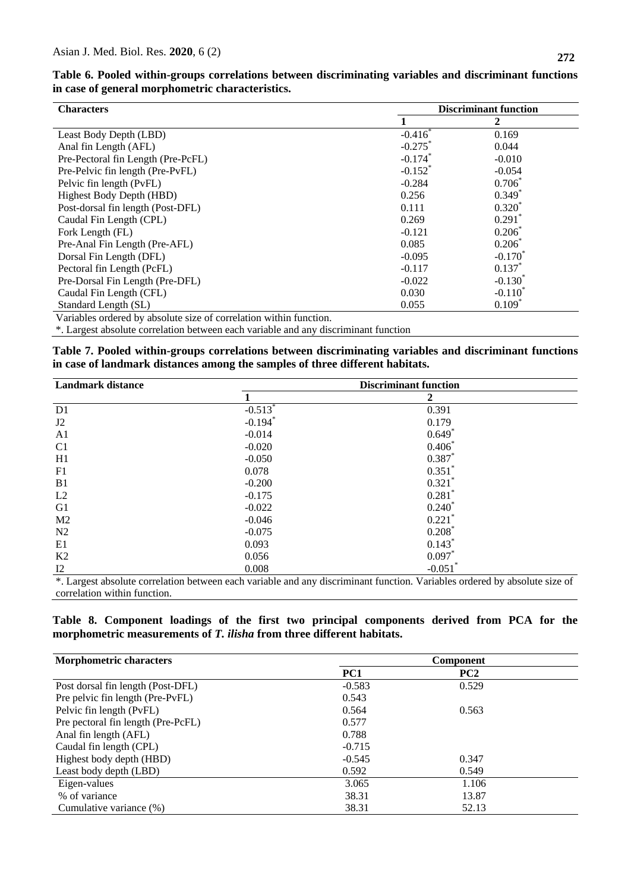| <b>Discriminant function</b> |            |
|------------------------------|------------|
|                              |            |
| $-0.416$                     | 0.169      |
| $-0.275$                     | 0.044      |
| $-0.174$ <sup>*</sup>        | $-0.010$   |
| $-0.152$ <sup>*</sup>        | $-0.054$   |
| $-0.284$                     | $0.706*$   |
| 0.256                        | $0.349*$   |
| 0.111                        | $0.320*$   |
| 0.269                        | $0.291$ *  |
| $-0.121$                     | $0.206*$   |
| 0.085                        | $0.206*$   |
| $-0.095$                     | $-0.170^*$ |
| $-0.117$                     | $0.137*$   |
| $-0.022$                     | $-0.130^*$ |
| 0.030                        | $-0.110^*$ |
| 0.055                        | $0.109*$   |
|                              |            |

**Table 6. Pooled within-groups correlations between discriminating variables and discriminant functions in case of general morphometric characteristics.** 

Variables ordered by absolute size of correlation within function.

\*. Largest absolute correlation between each variable and any discriminant function

**Table 7. Pooled within-groups correlations between discriminating variables and discriminant functions in case of landmark distances among the samples of three different habitats.** 

| Landmark distance |                       | <b>Discriminant function</b> |  |
|-------------------|-----------------------|------------------------------|--|
|                   |                       | 2                            |  |
| D <sub>1</sub>    | $-0.513$ <sup>*</sup> | 0.391                        |  |
| J2                | $-0.194$ *            | 0.179                        |  |
| A <sub>1</sub>    | $-0.014$              | $0.649*$                     |  |
| C1                | $-0.020$              | $0.406*$                     |  |
| H1                | $-0.050$              | $0.387*$                     |  |
| F1                | 0.078                 | $0.351$ <sup>*</sup>         |  |
| B1                | $-0.200$              | $0.321$ <sup>*</sup>         |  |
| L2                | $-0.175$              | $0.281$ <sup>*</sup>         |  |
| G <sub>1</sub>    | $-0.022$              | $0.240*$                     |  |
| M <sub>2</sub>    | $-0.046$              | $0.221$ <sup>*</sup>         |  |
| N2                | $-0.075$              | $0.208*$                     |  |
| E1                | 0.093                 | $0.143*$                     |  |
| K2                | 0.056                 | $0.097*$                     |  |
| I2                | 0.008                 | $-0.051$ <sup>*</sup>        |  |

\*. Largest absolute correlation between each variable and any discriminant function. Variables ordered by absolute size of correlation within function.

# **Table 8. Component loadings of the first two principal components derived from PCA for the morphometric measurements of** *T. ilisha* **from three different habitats.**

| <b>Morphometric characters</b>     |          | <b>Component</b> |  |
|------------------------------------|----------|------------------|--|
|                                    | PC1      | PC2              |  |
| Post dorsal fin length (Post-DFL)  | $-0.583$ | 0.529            |  |
| Pre pelvic fin length (Pre-PvFL)   | 0.543    |                  |  |
| Pelvic fin length (PvFL)           | 0.564    | 0.563            |  |
| Pre pectoral fin length (Pre-PcFL) | 0.577    |                  |  |
| Anal fin length (AFL)              | 0.788    |                  |  |
| Caudal fin length (CPL)            | $-0.715$ |                  |  |
| Highest body depth (HBD)           | $-0.545$ | 0.347            |  |
| Least body depth (LBD)             | 0.592    | 0.549            |  |
| Eigen-values                       | 3.065    | 1.106            |  |
| % of variance                      | 38.31    | 13.87            |  |
| Cumulative variance (%)            | 38.31    | 52.13            |  |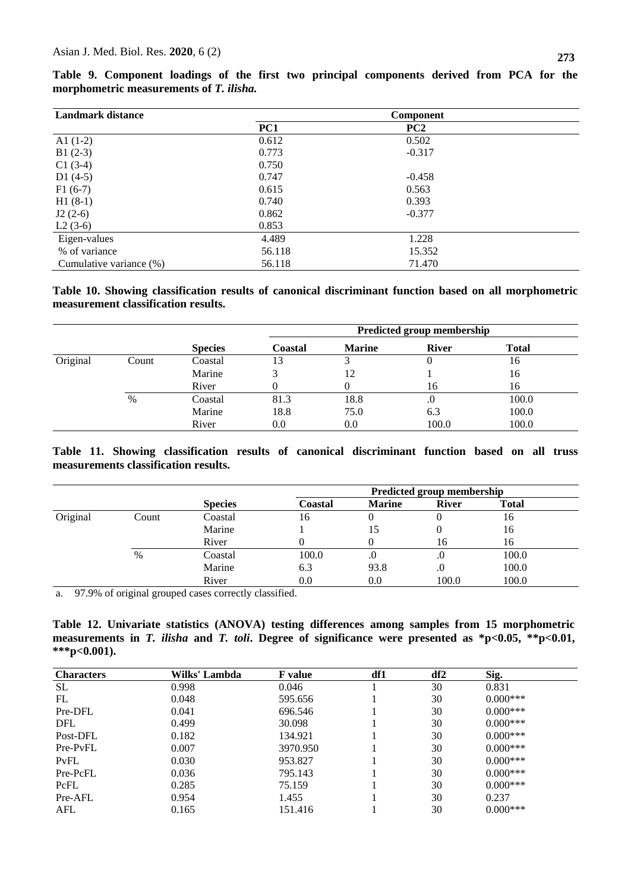| <b>Landmark distance</b> |        | <b>Component</b> |  |
|--------------------------|--------|------------------|--|
|                          | PC1    | PC2              |  |
| A1 $(1-2)$               | 0.612  | 0.502            |  |
| $B1(2-3)$                | 0.773  | $-0.317$         |  |
| $C1(3-4)$                | 0.750  |                  |  |
| $D1(4-5)$                | 0.747  | $-0.458$         |  |
| $F1(6-7)$                | 0.615  | 0.563            |  |
| $H1(8-1)$                | 0.740  | 0.393            |  |
| $J2(2-6)$                | 0.862  | $-0.377$         |  |
| $L2(3-6)$                | 0.853  |                  |  |
| Eigen-values             | 4.489  | 1.228            |  |
| % of variance            | 56.118 | 15.352           |  |
| Cumulative variance (%)  | 56.118 | 71.470           |  |

**Table 9. Component loadings of the first two principal components derived from PCA for the morphometric measurements of** *T. ilisha.*

**Table 10. Showing classification results of canonical discriminant function based on all morphometric measurement classification results.**

|          |       |                |         | Predicted group membership |              |              |  |
|----------|-------|----------------|---------|----------------------------|--------------|--------------|--|
|          |       | <b>Species</b> | Coastal | <b>Marine</b>              | <b>River</b> | <b>Total</b> |  |
| Original | Count | Coastal        | 13      |                            | O            | 16           |  |
|          |       | Marine         |         | 12                         |              | 16           |  |
|          |       | River          |         |                            | 16           | 16           |  |
|          | $\%$  | Coastal        | 81.3    | 18.8                       | .0           | 100.0        |  |
|          |       | Marine         | 18.8    | 75.0                       | 6.3          | 100.0        |  |
|          |       | River          | 0.0     | 0.0                        | 100.0        | 100.0        |  |

**Table 11. Showing classification results of canonical discriminant function based on all truss measurements classification results.**

|          |       |                |         |               | Predicted group membership |              |  |
|----------|-------|----------------|---------|---------------|----------------------------|--------------|--|
|          |       | <b>Species</b> | Coastal | <b>Marine</b> | <b>River</b>               | <b>Total</b> |  |
| Original | Count | Coastal        | 16      |               |                            | 16           |  |
|          |       | Marine         |         |               |                            | 16           |  |
|          |       | River          |         |               | 16                         | 16           |  |
|          | %     | Coastal        | 100.0   | .0            | .0                         | 100.0        |  |
|          |       | Marine         | 6.3     | 93.8          | .0                         | 100.0        |  |
|          |       | River          | 0.0     | 0.0           | 100.0                      | 100.0        |  |

a. 97.9% of original grouped cases correctly classified.

**Table 12. Univariate statistics (ANOVA) testing differences among samples from 15 morphometric measurements in** *T. ilisha* **and** *T. toli***. Degree of significance were presented as \*p<0.05, \*\*p<0.01, \*\*\*p<0.001).** 

|       | <b>F</b> value |     | Sig.            |
|-------|----------------|-----|-----------------|
| 0.998 | 0.046          | 30  | 0.831           |
| 0.048 | 595.656        | 30  | $0.000***$      |
| 0.041 | 696.546        | 30  | $0.000***$      |
| 0.499 | 30.098         | 30  | $0.000***$      |
| 0.182 | 134.921        | 30  | $0.000***$      |
| 0.007 | 3970.950       | 30  | $0.000***$      |
| 0.030 | 953.827        | 30  | $0.000***$      |
| 0.036 | 795.143        | 30  | $0.000$ ***     |
| 0.285 | 75.159         | 30  | $0.000***$      |
| 0.954 | 1.455          | 30  | 0.237           |
| 0.165 | 151.416        | 30  | $0.000***$      |
|       | Wilks' Lambda  | df1 | df <sub>2</sub> |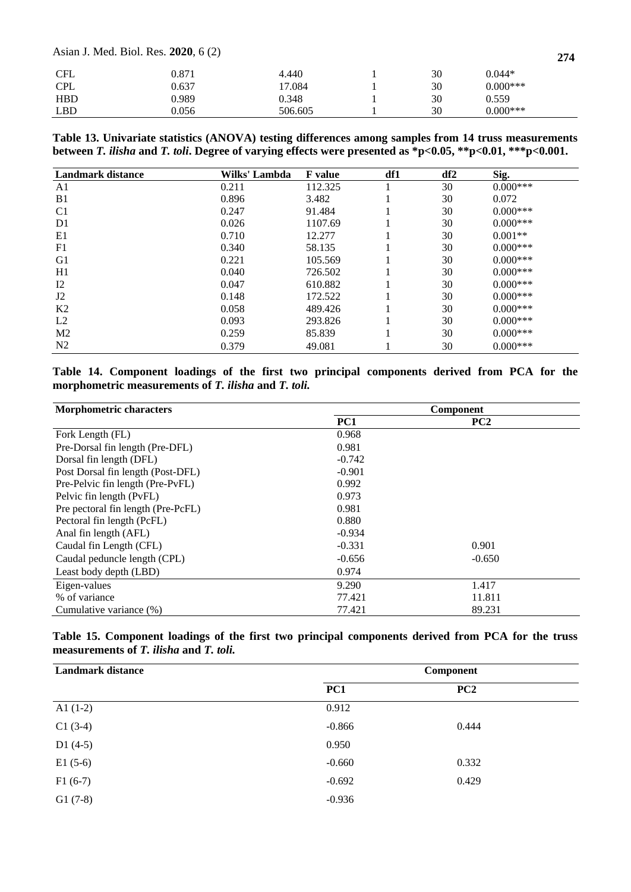| Asian J. Med. Biol. Res. 2020, 6 (2) |  |  |  |  |  |  |
|--------------------------------------|--|--|--|--|--|--|
|--------------------------------------|--|--|--|--|--|--|

|            | Asian J. Med. Biol. Res. $2020, 0(2)$ |         |    |            | 274 |
|------------|---------------------------------------|---------|----|------------|-----|
| <b>CFL</b> | 0.871                                 | 4.440   | 30 | $0.044*$   |     |
| <b>CPL</b> | 0.637                                 | '7.084  | 30 | $0.000***$ |     |
| <b>HBD</b> | 0.989                                 | 0.348   | 30 | 0.559      |     |
| <b>LBD</b> | 0.056                                 | 506.605 | 30 | $0.000***$ |     |

**Table 13. Univariate statistics (ANOVA) testing differences among samples from 14 truss measurements between** *T. ilisha* **and** *T. toli***. Degree of varying effects were presented as \*p<0.05, \*\*p<0.01, \*\*\*p<0.001.** 

| Landmark distance | Wilks' Lambda | <b>F</b> value | df1 | df2 | Sig.        |
|-------------------|---------------|----------------|-----|-----|-------------|
| A1                | 0.211         | 112.325        |     | 30  | $0.000***$  |
| B <sub>1</sub>    | 0.896         | 3.482          |     | 30  | 0.072       |
| C <sub>1</sub>    | 0.247         | 91.484         |     | 30  | $0.000$ *** |
| D <sub>1</sub>    | 0.026         | 1107.69        |     | 30  | $0.000***$  |
| E1                | 0.710         | 12.277         |     | 30  | $0.001**$   |
| F1                | 0.340         | 58.135         |     | 30  | $0.000***$  |
| G <sub>1</sub>    | 0.221         | 105.569        |     | 30  | $0.000$ *** |
| H1                | 0.040         | 726.502        |     | 30  | $0.000***$  |
| 12                | 0.047         | 610.882        |     | 30  | $0.000$ *** |
| J <sub>2</sub>    | 0.148         | 172.522        |     | 30  | $0.000***$  |
| K <sub>2</sub>    | 0.058         | 489.426        |     | 30  | $0.000***$  |
| L <sub>2</sub>    | 0.093         | 293.826        |     | 30  | $0.000***$  |
| M <sub>2</sub>    | 0.259         | 85.839         |     | 30  | $0.000***$  |
| N <sub>2</sub>    | 0.379         | 49.081         |     | 30  | $0.000***$  |

**Table 14. Component loadings of the first two principal components derived from PCA for the morphometric measurements of** *T. ilisha* **and** *T. toli.*

| <b>Morphometric characters</b>     | Component |                 |  |  |
|------------------------------------|-----------|-----------------|--|--|
|                                    | PC1       | PC <sub>2</sub> |  |  |
| Fork Length (FL)                   | 0.968     |                 |  |  |
| Pre-Dorsal fin length (Pre-DFL)    | 0.981     |                 |  |  |
| Dorsal fin length (DFL)            | $-0.742$  |                 |  |  |
| Post Dorsal fin length (Post-DFL)  | $-0.901$  |                 |  |  |
| Pre-Pelvic fin length (Pre-PvFL)   | 0.992     |                 |  |  |
| Pelvic fin length (PvFL)           | 0.973     |                 |  |  |
| Pre pectoral fin length (Pre-PcFL) | 0.981     |                 |  |  |
| Pectoral fin length (PcFL)         | 0.880     |                 |  |  |
| Anal fin length (AFL)              | $-0.934$  |                 |  |  |
| Caudal fin Length (CFL)            | $-0.331$  | 0.901           |  |  |
| Caudal peduncle length (CPL)       | $-0.656$  | $-0.650$        |  |  |
| Least body depth (LBD)             | 0.974     |                 |  |  |
| Eigen-values                       | 9.290     | 1.417           |  |  |
| % of variance                      | 77.421    | 11.811          |  |  |
| Cumulative variance (%)            | 77.421    | 89.231          |  |  |

| Table 15. Component loadings of the first two principal components derived from PCA for the truss |  |  |  |  |  |  |
|---------------------------------------------------------------------------------------------------|--|--|--|--|--|--|
| measurements of T. <i>ilisha</i> and T. <i>toli</i> .                                             |  |  |  |  |  |  |

| <b>Landmark distance</b> | Component |       |  |  |
|--------------------------|-----------|-------|--|--|
|                          | PC1       | PC2   |  |  |
| A1 $(1-2)$               | 0.912     |       |  |  |
| $C1(3-4)$                | $-0.866$  | 0.444 |  |  |
| $D1(4-5)$                | 0.950     |       |  |  |
| $E1(5-6)$                | $-0.660$  | 0.332 |  |  |
| $F1(6-7)$                | $-0.692$  | 0.429 |  |  |
| $G1(7-8)$                | $-0.936$  |       |  |  |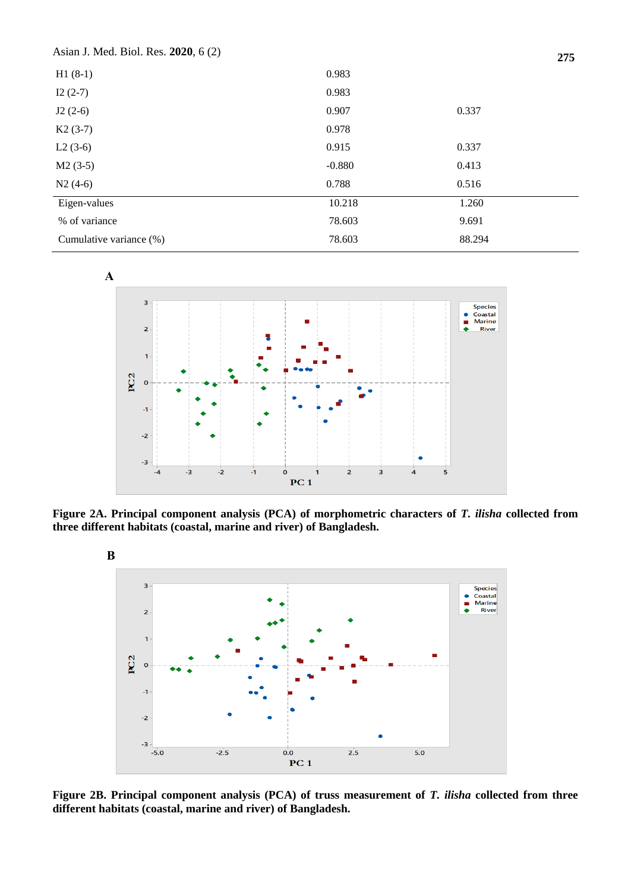| Asian J. Med. Biol. Res. 2020, 6 (2) |  |  |  |  |  |
|--------------------------------------|--|--|--|--|--|
|--------------------------------------|--|--|--|--|--|

| $H1(8-1)$               | 0.983    |        |
|-------------------------|----------|--------|
| $I2(2-7)$               | 0.983    |        |
| $J2(2-6)$               | 0.907    | 0.337  |
| $K2(3-7)$               | 0.978    |        |
| $L2(3-6)$               | 0.915    | 0.337  |
| $M2(3-5)$               | $-0.880$ | 0.413  |
| $N2(4-6)$               | 0.788    | 0.516  |
| Eigen-values            | 10.218   | 1.260  |
| % of variance           | 78.603   | 9.691  |
| Cumulative variance (%) | 78.603   | 88.294 |



**Figure 2A. Principal component analysis (PCA) of morphometric characters of** *T. ilisha* **collected from three different habitats (coastal, marine and river) of Bangladesh.**



**Figure 2B. Principal component analysis (PCA) of truss measurement of** *T. ilisha* **collected from three different habitats (coastal, marine and river) of Bangladesh.**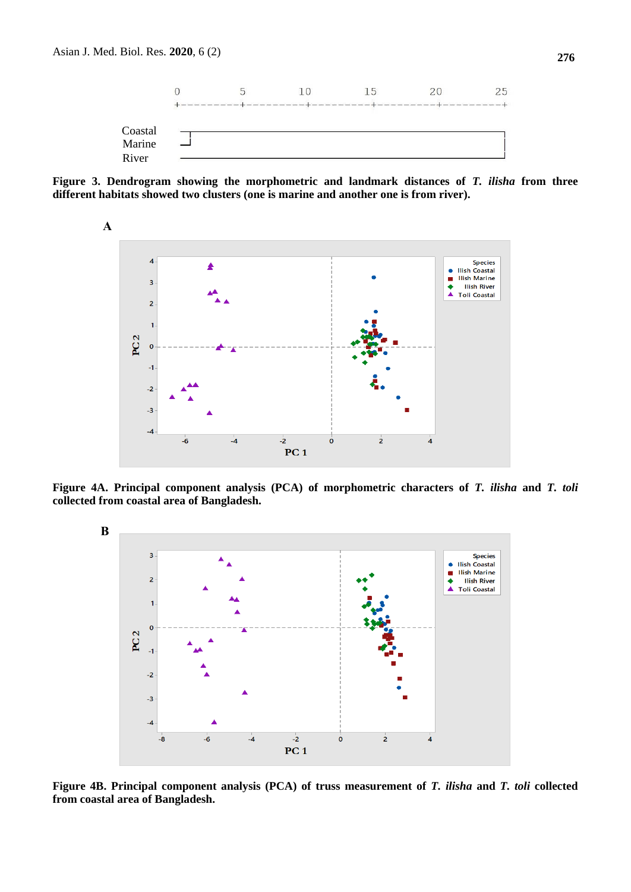

**Figure 3. Dendrogram showing the morphometric and landmark distances of** *T. ilisha* **from three different habitats showed two clusters (one is marine and another one is from river).** 



**Figure 4A. Principal component analysis (PCA) of morphometric characters of** *T. ilisha* **and** *T. toli* **collected from coastal area of Bangladesh.**



**Figure 4B. Principal component analysis (PCA) of truss measurement of** *T. ilisha* **and** *T. toli* **collected from coastal area of Bangladesh.**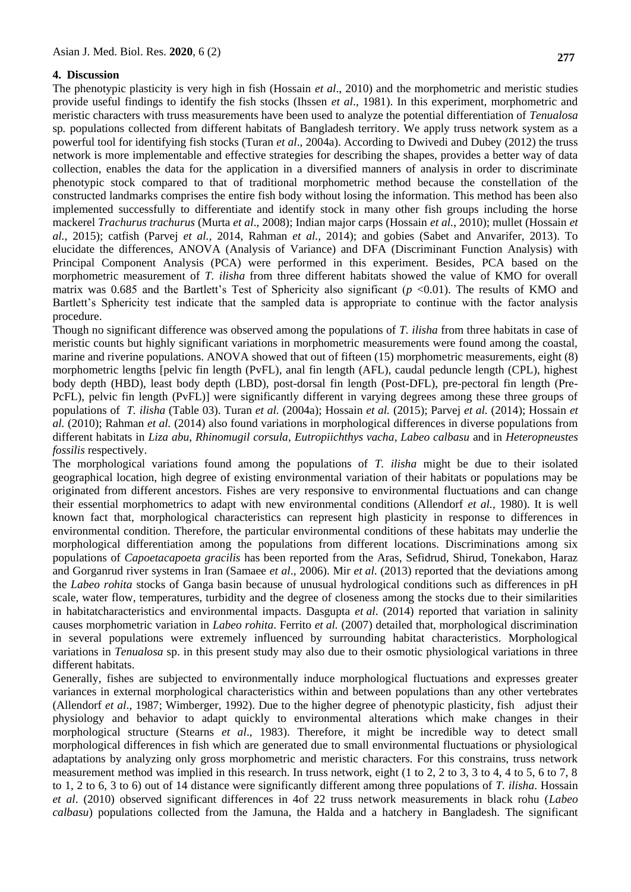#### **4. Discussion**

The phenotypic plasticity is very high in fish (Hossain *et al*., 2010) and the morphometric and meristic studies provide useful findings to identify the fish stocks (Ihssen *et al*., 1981). In this experiment, morphometric and meristic characters with truss measurements have been used to analyze the potential differentiation of *Tenualosa*  sp*.* populations collected from different habitats of Bangladesh territory. We apply truss network system as a powerful tool for identifying fish stocks (Turan *et al*., 2004a). According to Dwivedi and Dubey (2012) the truss network is more implementable and effective strategies for describing the shapes, provides a better way of data collection, enables the data for the application in a diversified manners of analysis in order to discriminate phenotypic stock compared to that of traditional morphometric method because the constellation of the constructed landmarks comprises the entire fish body without losing the information. This method has been also implemented successfully to differentiate and identify stock in many other fish groups including the horse mackerel *Trachurus trachurus* (Murta *et al*., 2008); Indian major carps (Hossain *et al.*, 2010); mullet (Hossain *et al.,* 2015); catfish (Parvej *et al.,* 2014, Rahman *et al.,* 2014); and gobies (Sabet and Anvarifer, 2013). To elucidate the differences, ANOVA (Analysis of Variance) and DFA (Discriminant Function Analysis) with Principal Component Analysis (PCA) were performed in this experiment. Besides, PCA based on the morphometric measurement of *T. ilisha* from three different habitats showed the value of KMO for overall matrix was 0.685 and the Bartlett's Test of Sphericity also significant ( $p < 0.01$ ). The results of KMO and Bartlett's Sphericity test indicate that the sampled data is appropriate to continue with the factor analysis procedure.

Though no significant difference was observed among the populations of *T. ilisha* from three habitats in case of meristic counts but highly significant variations in morphometric measurements were found among the coastal, marine and riverine populations. ANOVA showed that out of fifteen (15) morphometric measurements, eight (8) morphometric lengths [pelvic fin length (PvFL), anal fin length (AFL), caudal peduncle length (CPL), highest body depth (HBD), least body depth (LBD), post-dorsal fin length (Post-DFL), pre-pectoral fin length (Pre-PcFL), pelvic fin length (PvFL)] were significantly different in varying degrees among these three groups of populations of *T. ilisha* (Table 03). Turan *et al.* (2004a); Hossain *et al.* (2015); Parvej *et al.* (2014); Hossain *et al.* (2010); Rahman *et al.* (2014) also found variations in morphological differences in diverse populations from different habitats in *Liza abu*, *Rhinomugil corsula*, *Eutropiichthys vacha*, *Labeo calbasu* and in *Heteropneustes fossilis* respectively.

The morphological variations found among the populations of *T. ilisha* might be due to their isolated geographical location, high degree of existing environmental variation of their habitats or populations may be originated from different ancestors. Fishes are very responsive to environmental fluctuations and can change their essential morphometrics to adapt with new environmental conditions (Allendorf *et al.,* 1980). It is well known fact that, morphological characteristics can represent high plasticity in response to differences in environmental condition. Therefore, the particular environmental conditions of these habitats may underlie the morphological differentiation among the populations from different locations. Discriminations among six populations of *Capoetacapoeta gracilis* has been reported from the Aras, Sefidrud, Shirud, Tonekabon, Haraz and Gorganrud river systems in Iran (Samaee *et al*., 2006). Mir *et al*. (2013) reported that the deviations among the *Labeo rohita* stocks of Ganga basin because of unusual hydrological conditions such as differences in pH scale, water flow, temperatures, turbidity and the degree of closeness among the stocks due to their similarities in habitatcharacteristics and environmental impacts. Dasgupta *et al*. (2014) reported that variation in salinity causes morphometric variation in *Labeo rohita*. Ferrito *et al.* (2007) detailed that, morphological discrimination in several populations were extremely influenced by surrounding habitat characteristics. Morphological variations in *Tenualosa* sp. in this present study may also due to their osmotic physiological variations in three different habitats.

Generally, fishes are subjected to environmentally induce morphological fluctuations and expresses greater variances in external morphological characteristics within and between populations than any other vertebrates (Allendorf *et al*., 1987; Wimberger, 1992). Due to the higher degree of phenotypic plasticity, fish adjust their physiology and behavior to adapt quickly to environmental alterations which make changes in their morphological structure (Stearns *et al*., 1983). Therefore, it might be incredible way to detect small morphological differences in fish which are generated due to small environmental fluctuations or physiological adaptations by analyzing only gross morphometric and meristic characters. For this constrains, truss network measurement method was implied in this research. In truss network, eight (1 to 2, 2 to 3, 3 to 4, 4 to 5, 6 to 7, 8 to 1, 2 to 6, 3 to 6) out of 14 distance were significantly different among three populations of *T. ilisha*. Hossain *et al*. (2010) observed significant differences in 4of 22 truss network measurements in black rohu (*Labeo calbasu*) populations collected from the Jamuna, the Halda and a hatchery in Bangladesh. The significant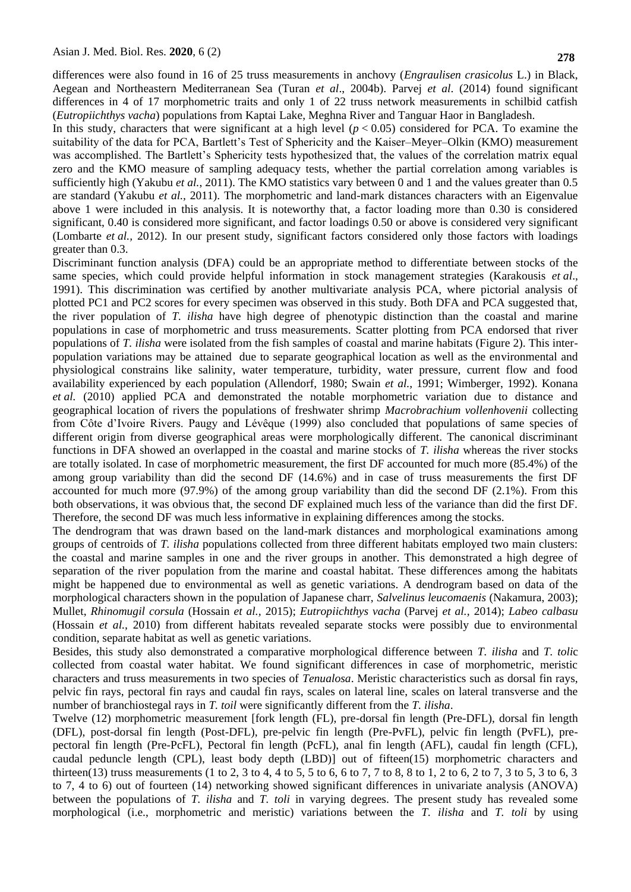differences were also found in 16 of 25 truss measurements in anchovy (*Engraulisen crasicolus* L.) in Black, Aegean and Northeastern Mediterranean Sea (Turan *et al*., 2004b). Parvej *et al*. (2014) found significant differences in 4 of 17 morphometric traits and only 1 of 22 truss network measurements in schilbid catfish (*Eutropiichthys vacha*) populations from Kaptai Lake, Meghna River and Tanguar Haor in Bangladesh.

In this study, characters that were significant at a high level  $(p < 0.05)$  considered for PCA. To examine the suitability of the data for PCA, Bartlett's Test of Sphericity and the Kaiser–Meyer–Olkin (KMO) measurement was accomplished. The Bartlett's Sphericity tests hypothesized that, the values of the correlation matrix equal zero and the KMO measure of sampling adequacy tests, whether the partial correlation among variables is sufficiently high (Yakubu *et al.*, 2011). The KMO statistics vary between 0 and 1 and the values greater than 0.5 are standard (Yakubu *et al.,* 2011). The morphometric and land-mark distances characters with an Eigenvalue above 1 were included in this analysis. It is noteworthy that, a factor loading more than 0.30 is considered significant, 0.40 is considered more significant, and factor loadings 0.50 or above is considered very significant (Lombarte *et al.,* 2012). In our present study, significant factors considered only those factors with loadings greater than 0.3.

Discriminant function analysis (DFA) could be an appropriate method to differentiate between stocks of the same species, which could provide helpful information in stock management strategies (Karakousis *et al*., 1991). This discrimination was certified by another multivariate analysis PCA, where pictorial analysis of plotted PC1 and PC2 scores for every specimen was observed in this study. Both DFA and PCA suggested that, the river population of *T. ilisha* have high degree of phenotypic distinction than the coastal and marine populations in case of morphometric and truss measurements. Scatter plotting from PCA endorsed that river populations of *T. ilisha* were isolated from the fish samples of coastal and marine habitats (Figure 2). This interpopulation variations may be attained due to separate geographical location as well as the environmental and physiological constrains like salinity, water temperature, turbidity, water pressure, current flow and food availability experienced by each population (Allendorf, 1980; Swain *et al.,* 1991; Wimberger, 1992). Konana *et al.* (2010) applied PCA and demonstrated the notable morphometric variation due to distance and geographical location of rivers the populations of freshwater shrimp *Macrobrachium vollenhovenii* collecting from Côte d"Ivoire Rivers. Paugy and Lévêque (1999) also concluded that populations of same species of different origin from diverse geographical areas were morphologically different. The canonical discriminant functions in DFA showed an overlapped in the coastal and marine stocks of *T. ilisha* whereas the river stocks are totally isolated. In case of morphometric measurement, the first DF accounted for much more (85.4%) of the among group variability than did the second DF (14.6%) and in case of truss measurements the first DF accounted for much more (97.9%) of the among group variability than did the second DF (2.1%). From this both observations, it was obvious that, the second DF explained much less of the variance than did the first DF. Therefore, the second DF was much less informative in explaining differences among the stocks.

The dendrogram that was drawn based on the land-mark distances and morphological examinations among groups of centroids of *T. ilisha* populations collected from three different habitats employed two main clusters: the coastal and marine samples in one and the river groups in another. This demonstrated a high degree of separation of the river population from the marine and coastal habitat. These differences among the habitats might be happened due to environmental as well as genetic variations. A dendrogram based on data of the morphological characters shown in the population of Japanese charr, *Salvelinus leucomaenis* (Nakamura, 2003); Mullet, *Rhinomugil corsula* (Hossain *et al.,* 2015); *Eutropiichthys vacha* (Parvej *et al.,* 2014); *Labeo calbasu* (Hossain *et al.,* 2010) from different habitats revealed separate stocks were possibly due to environmental condition, separate habitat as well as genetic variations.

Besides, this study also demonstrated a comparative morphological difference between *T. ilisha* and *T. toli*c collected from coastal water habitat. We found significant differences in case of morphometric, meristic characters and truss measurements in two species of *Tenualosa*. Meristic characteristics such as dorsal fin rays, pelvic fin rays, pectoral fin rays and caudal fin rays, scales on lateral line, scales on lateral transverse and the number of branchiostegal rays in *T. toil* were significantly different from the *T. ilisha*.

Twelve (12) morphometric measurement [fork length (FL), pre-dorsal fin length (Pre-DFL), dorsal fin length (DFL), post-dorsal fin length (Post-DFL), pre-pelvic fin length (Pre-PvFL), pelvic fin length (PvFL), prepectoral fin length (Pre-PcFL), Pectoral fin length (PcFL), anal fin length (AFL), caudal fin length (CFL), caudal peduncle length (CPL), least body depth (LBD)] out of fifteen(15) morphometric characters and thirteen(13) truss measurements (1 to 2, 3 to 4, 4 to 5, 5 to 6, 6 to 7, 7 to 8, 8 to 1, 2 to 6, 2 to 7, 3 to 5, 3 to 6, 3 to 7, 4 to 6) out of fourteen (14) networking showed significant differences in univariate analysis (ANOVA) between the populations of *T. ilisha* and *T. toli* in varying degrees. The present study has revealed some morphological (i.e., morphometric and meristic) variations between the *T. ilisha* and *T. toli* by using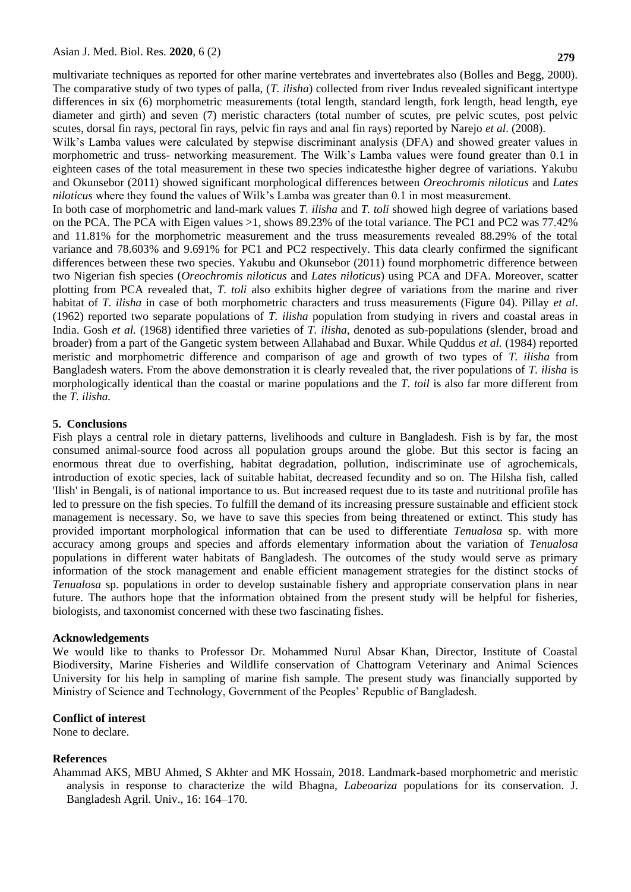multivariate techniques as reported for other marine vertebrates and invertebrates also (Bolles and Begg, 2000). The comparative study of two types of palla, (*T. ilisha*) collected from river Indus revealed significant intertype differences in six (6) morphometric measurements (total length, standard length, fork length, head length, eye diameter and girth) and seven (7) meristic characters (total number of scutes, pre pelvic scutes, post pelvic scutes, dorsal fin rays, pectoral fin rays, pelvic fin rays and anal fin rays) reported by Narejo *et al*. (2008).

Wilk's Lamba values were calculated by stepwise discriminant analysis (DFA) and showed greater values in morphometric and truss- networking measurement. The Wilk"s Lamba values were found greater than 0.1 in eighteen cases of the total measurement in these two species indicatesthe higher degree of variations. Yakubu and Okunsebor (2011) showed significant morphological differences between *Oreochromis niloticus* and *Lates niloticus* where they found the values of Wilk"s Lamba was greater than 0.1 in most measurement.

In both case of morphometric and land-mark values *T. ilisha* and *T. toli* showed high degree of variations based on the PCA. The PCA with Eigen values >1, shows 89.23% of the total variance. The PC1 and PC2 was 77.42% and 11.81% for the morphometric measurement and the truss measurements revealed 88.29% of the total variance and 78.603% and 9.691% for PC1 and PC2 respectively. This data clearly confirmed the significant differences between these two species. Yakubu and Okunsebor (2011) found morphometric difference between two Nigerian fish species (*Oreochromis niloticus* and *Lates niloticus*) using PCA and DFA. Moreover, scatter plotting from PCA revealed that, *T. toli* also exhibits higher degree of variations from the marine and river habitat of *T. ilisha* in case of both morphometric characters and truss measurements (Figure 04). Pillay *et al*. (1962) reported two separate populations of *T. ilisha* population from studying in rivers and coastal areas in India. Gosh *et al.* (1968) identified three varieties of *T. ilisha*, denoted as sub-populations (slender, broad and broader) from a part of the Gangetic system between Allahabad and Buxar. While Quddus *et al.* (1984) reported meristic and morphometric difference and comparison of age and growth of two types of *T. ilisha* from Bangladesh waters. From the above demonstration it is clearly revealed that, the river populations of *T. ilisha* is morphologically identical than the coastal or marine populations and the *T. toil* is also far more different from the *T. ilisha.* 

### **5. Conclusions**

Fish plays a central role in dietary patterns, livelihoods and culture in Bangladesh. Fish is by far, the most consumed animal-source food across all population groups around the globe. But this sector is facing an enormous threat due to overfishing, habitat degradation, pollution, indiscriminate use of agrochemicals, introduction of exotic species, lack of suitable habitat, decreased fecundity and so on. The Hilsha fish, called 'Ilish' in Bengali, is of national importance to us. But increased request due to its taste and nutritional profile has led to pressure on the fish species. To fulfill the demand of its increasing pressure sustainable and efficient stock management is necessary. So, we have to save this species from being threatened or extinct. This study has provided important morphological information that can be used to differentiate *Tenualosa* sp. with more accuracy among groups and species and affords elementary information about the variation of *Tenualosa*  populations in different water habitats of Bangladesh. The outcomes of the study would serve as primary information of the stock management and enable efficient management strategies for the distinct stocks of *Tenualosa* sp. populations in order to develop sustainable fishery and appropriate conservation plans in near future. The authors hope that the information obtained from the present study will be helpful for fisheries, biologists, and taxonomist concerned with these two fascinating fishes.

#### **Acknowledgements**

We would like to thanks to Professor Dr. Mohammed Nurul Absar Khan, Director, Institute of Coastal Biodiversity, Marine Fisheries and Wildlife conservation of Chattogram Veterinary and Animal Sciences University for his help in sampling of marine fish sample. The present study was financially supported by Ministry of Science and Technology, Government of the Peoples" Republic of Bangladesh.

#### **Conflict of interest**

None to declare.

### **References**

Ahammad AKS, MBU Ahmed, S Akhter and MK Hossain, 2018. Landmark-based morphometric and meristic analysis in response to characterize the wild Bhagna, *Labeoariza* populations for its conservation. J. Bangladesh Agril. Univ., 16: 164–170*.*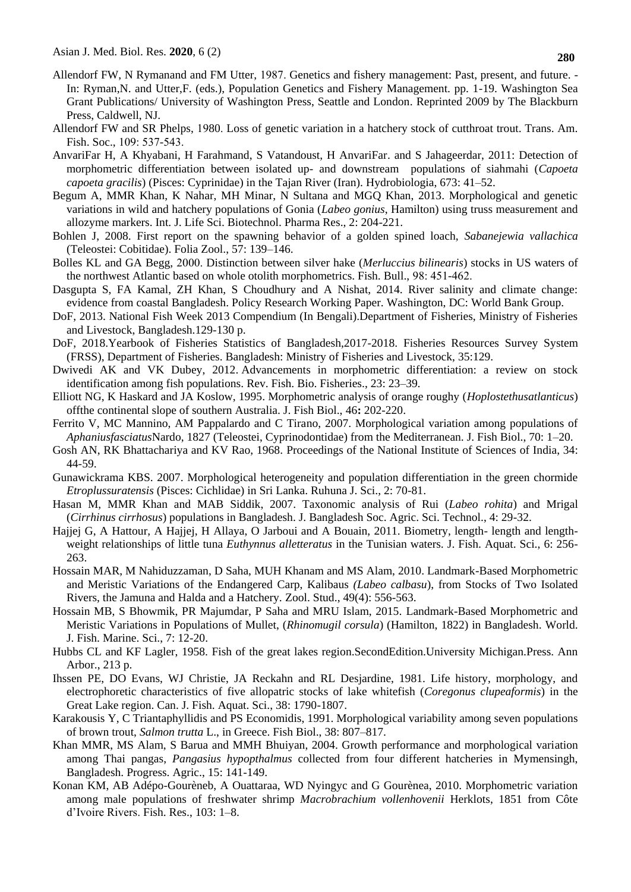- Allendorf FW, N Rymanand and FM Utter, 1987. Genetics and fishery management: Past, present, and future. In: Ryman,N. and Utter,F. (eds.), Population Genetics and Fishery Management. pp. 1-19. Washington Sea Grant Publications/ University of Washington Press, Seattle and London. Reprinted 2009 by The Blackburn Press, Caldwell, NJ.
- Allendorf FW and SR Phelps, 1980. Loss of genetic variation in a hatchery stock of cutthroat trout. Trans. Am. Fish. Soc., 109: 537-543.
- AnvariFar H, A Khyabani, H Farahmand, S Vatandoust, H AnvariFar. and S Jahageerdar, 2011: Detection of morphometric differentiation between isolated up- and downstream populations of siahmahi (*Capoeta capoeta gracilis*) (Pisces: Cyprinidae) in the Tajan River (Iran). Hydrobiologia, 673: 41–52.
- Begum A, MMR Khan, K Nahar, MH Minar, N Sultana and MGQ Khan, 2013. Morphological and genetic variations in wild and hatchery populations of Gonia (*Labeo gonius*, Hamilton) using truss measurement and allozyme markers. Int. J. Life Sci. Biotechnol. Pharma Res., 2: 204-221.
- Bohlen J, 2008. First report on the spawning behavior of a golden spined loach, *Sabanejewia vallachica* (Teleostei: Cobitidae). Folia Zool., 57: 139–146.
- Bolles KL and GA Begg, 2000. Distinction between silver hake (*Merluccius bilinearis*) stocks in US waters of the northwest Atlantic based on whole otolith morphometrics. Fish. Bull., 98: 451-462.
- Dasgupta S, FA Kamal, ZH Khan, S Choudhury and A Nishat, 2014. River salinity and climate change: evidence from coastal Bangladesh. Policy Research Working Paper. Washington, DC: World Bank Group.
- DoF, 2013. National Fish Week 2013 Compendium (In Bengali).Department of Fisheries, Ministry of Fisheries and Livestock, Bangladesh.129-130 p.
- DoF, 2018.Yearbook of Fisheries Statistics of Bangladesh,2017-2018. Fisheries Resources Survey System (FRSS), Department of Fisheries. Bangladesh: Ministry of Fisheries and Livestock, 35:129.
- Dwivedi AK and VK Dubey, 2012. Advancements in morphometric differentiation: a review on stock identification among fish populations. Rev. Fish. Bio. Fisheries., 23: 23–39*.*
- Elliott NG, K Haskard and JA Koslow, 1995. Morphometric analysis of orange roughy (*Hoplostethusatlanticus*) offthe continental slope of southern Australia. J. Fish Biol., 46**:** 202-220.
- Ferrito V, MC Mannino, AM Pappalardo and C Tirano, 2007. Morphological variation among populations of *Aphaniusfasciatus*Nardo, 1827 (Teleostei, Cyprinodontidae) from the Mediterranean. J. Fish Biol., 70: 1–20.
- Gosh AN, RK Bhattachariya and KV Rao, 1968. Proceedings of the National Institute of Sciences of India, 34: 44-59.
- Gunawickrama KBS. 2007. Morphological heterogeneity and population differentiation in the green chormide *Etroplussuratensis* (Pisces: Cichlidae) in Sri Lanka. Ruhuna J. Sci., 2: 70-81.
- Hasan M, MMR Khan and MAB Siddik, 2007. Taxonomic analysis of Rui (*Labeo rohita*) and Mrigal (*Cirrhinus cirrhosus*) populations in Bangladesh. J. Bangladesh Soc. Agric. Sci. Technol., 4: 29-32.
- Hajjej G, A Hattour, A Hajjej, H Allaya, O Jarboui and A Bouain, 2011. Biometry, length- length and lengthweight relationships of little tuna *Euthynnus alletteratus* in the Tunisian waters. J. Fish. Aquat. Sci., 6: 256- 263.
- Hossain MAR, M Nahiduzzaman, D Saha, MUH Khanam and MS Alam, 2010. Landmark-Based Morphometric and Meristic Variations of the Endangered Carp, Kalibaus *(Labeo calbasu*), from Stocks of Two Isolated Rivers, the Jamuna and Halda and a Hatchery*.* Zool. Stud., 49(4): 556-563.
- Hossain MB, S Bhowmik, PR Majumdar, P Saha and MRU Islam, 2015. Landmark-Based Morphometric and Meristic Variations in Populations of Mullet, (*Rhinomugil corsula*) (Hamilton, 1822) in Bangladesh. World. J. Fish. Marine. Sci., 7: 12-20.
- Hubbs CL and KF Lagler, 1958. Fish of the great lakes region.SecondEdition.University Michigan.Press. Ann Arbor., 213 p.
- Ihssen PE, DO Evans, WJ Christie, JA Reckahn and RL Desjardine, 1981. Life history, morphology, and electrophoretic characteristics of five allopatric stocks of lake whitefish (*Coregonus clupeaformis*) in the Great Lake region. Can. J. Fish. Aquat. Sci., 38: 1790-1807.
- Karakousis Y, C Triantaphyllidis and PS Economidis, 1991. Morphological variability among seven populations of brown trout, *Salmon trutta* L., in Greece. Fish Biol., 38: 807–817.
- Khan MMR, MS Alam, S Barua and MMH Bhuiyan, 2004. Growth performance and morphological variation among Thai pangas, *Pangasius hypopthalmus* collected from four different hatcheries in Mymensingh, Bangladesh. Progress. Agric., 15: 141-149.
- Konan KM, AB Adépo-Gourèneb, A Ouattaraa, WD Nyingyc and G Gourènea, 2010. Morphometric variation among male populations of freshwater shrimp *Macrobrachium vollenhovenii* Herklots, 1851 from Côte d"Ivoire Rivers. Fish. Res., 103: 1–8.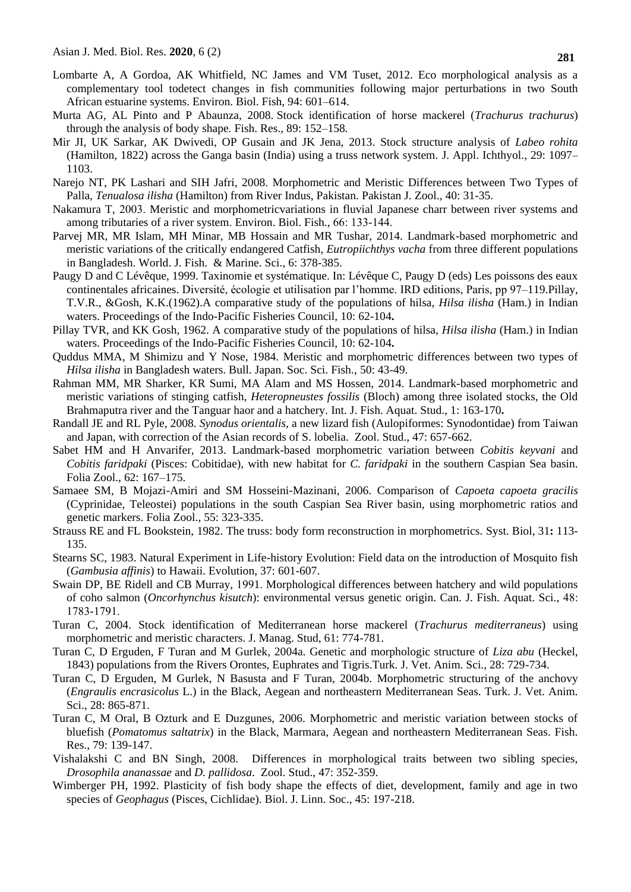- Lombarte A, A Gordoa, AK Whitfield, NC James and VM Tuset, 2012. Eco morphological analysis as a complementary tool todetect changes in fish communities following major perturbations in two South African estuarine systems. Environ. Biol. Fish, 94: 601–614.
- Murta AG, AL Pinto and P Abaunza, 2008. Stock identification of horse mackerel (*Trachurus trachurus*) through the analysis of body shape*.* Fish. Res., 89: 152–158*.*
- Mir JI, UK Sarkar, AK Dwivedi, OP Gusain and JK Jena, 2013. Stock structure analysis of *Labeo rohita* (Hamilton, 1822) across the Ganga basin (India) using a truss network system. J. Appl. Ichthyol., 29: 1097– 1103.
- Narejo NT, PK Lashari and SIH Jafri, 2008. Morphometric and Meristic Differences between Two Types of Palla, *Tenualosa ilisha* (Hamilton) from River Indus, Pakistan. Pakistan J. Zool., 40: 31-35.
- Nakamura T, 2003. Meristic and morphometricvariations in fluvial Japanese charr between river systems and among tributaries of a river system. Environ. Biol. Fish., 66: 133-144.
- Parvej MR, MR Islam, MH Minar, MB Hossain and MR Tushar, 2014. Landmark-based morphometric and meristic variations of the critically endangered Catfish, *Eutropiichthys vacha* from three different populations in Bangladesh. World. J. Fish. & Marine. Sci., 6: 378-385.
- Paugy D and C Lévêque, 1999. Taxinomie et systématique. In: Lévêque C, Paugy D (eds) Les poissons des eaux continentales africaines. Diversité, écologie et utilisation par l"homme. IRD editions, Paris, pp 97–119.Pillay, T.V.R., &Gosh, K.K.(1962).A comparative study of the populations of hilsa, *Hilsa ilisha* (Ham.) in Indian waters. Proceedings of the Indo-Pacific Fisheries Council*,* 10: 62-104**.**
- Pillay TVR, and KK Gosh, 1962. A comparative study of the populations of hilsa, *Hilsa ilisha* (Ham.) in Indian waters. Proceedings of the Indo-Pacific Fisheries Council*,* 10: 62-104**.**
- Quddus MMA, M Shimizu and Y Nose, 1984. Meristic and morphometric differences between two types of *Hilsa ilisha* in Bangladesh waters. Bull. Japan. Soc. Sci. Fish., 50: 43-49.
- Rahman MM, MR Sharker, KR Sumi, MA Alam and MS Hossen, 2014. Landmark-based morphometric and meristic variations of stinging catfish, *Heteropneustes fossilis* (Bloch) among three isolated stocks, the Old Brahmaputra river and the Tanguar haor and a hatchery. Int. J. Fish. Aquat. Stud., 1: 163-170**.**
- Randall JE and RL Pyle, 2008. *Synodus orientalis*, a new lizard fish (Aulopiformes: Synodontidae) from Taiwan and Japan, with correction of the Asian records of S. lobelia. Zool. Stud., 47: 657-662.
- Sabet HM and H Anvarifer, 2013. Landmark-based morphometric variation between *Cobitis keyvani* and *Cobitis faridpaki* (Pisces: Cobitidae), with new habitat for *C. faridpaki* in the southern Caspian Sea basin. Folia Zool., 62: 167–175.
- Samaee SM, B Mojazi-Amiri and SM Hosseini-Mazinani, 2006. Comparison of *Capoeta capoeta gracilis*  (Cyprinidae, Teleostei) populations in the south Caspian Sea River basin, using morphometric ratios and genetic markers. Folia Zool., 55: 323-335.
- Strauss RE and FL Bookstein, 1982. The truss: body form reconstruction in morphometrics. Syst. Biol, 31**:** 113- 135.
- Stearns SC, 1983. Natural Experiment in Life-history Evolution: Field data on the introduction of Mosquito fish (*Gambusia affinis*) to Hawaii. Evolution, 37: 601-607.
- Swain DP, BE Ridell and CB Murray, 1991. Morphological differences between hatchery and wild populations of coho salmon (*Oncorhynchus kisutch*): environmental versus genetic origin. Can. J. Fish. Aquat. Sci., 48: 1783-1791.
- Turan C, 2004. Stock identification of Mediterranean horse mackerel (*Trachurus mediterraneus*) using morphometric and meristic characters. J. Manag. Stud, 61: 774-781.
- Turan C, D Erguden, F Turan and M Gurlek, 2004a. Genetic and morphologic structure of *Liza abu* (Heckel, 1843) populations from the Rivers Orontes, Euphrates and Tigris.Turk. J. Vet. Anim. Sci., 28: 729-734.
- Turan C, D Erguden, M Gurlek, N Basusta and F Turan, 2004b. Morphometric structuring of the anchovy (*Engraulis encrasicolus* L.) in the Black, Aegean and northeastern Mediterranean Seas. Turk. J. Vet. Anim. Sci., 28: 865-871.
- Turan C, M Oral, B Ozturk and E Duzgunes, 2006. Morphometric and meristic variation between stocks of bluefish (*Pomatomus saltatrix*) in the Black, Marmara, Aegean and northeastern Mediterranean Seas. Fish. Res., 79: 139-147.
- Vishalakshi C and BN Singh, 2008. Differences in morphological traits between two sibling species, *Drosophila ananassae* and *D. pallidosa*. Zool. Stud., 47: 352-359.
- Wimberger PH, 1992. Plasticity of fish body shape the effects of diet, development, family and age in two species of *Geophagus* (Pisces, Cichlidae). Biol. J. Linn. Soc., 45: 197-218.